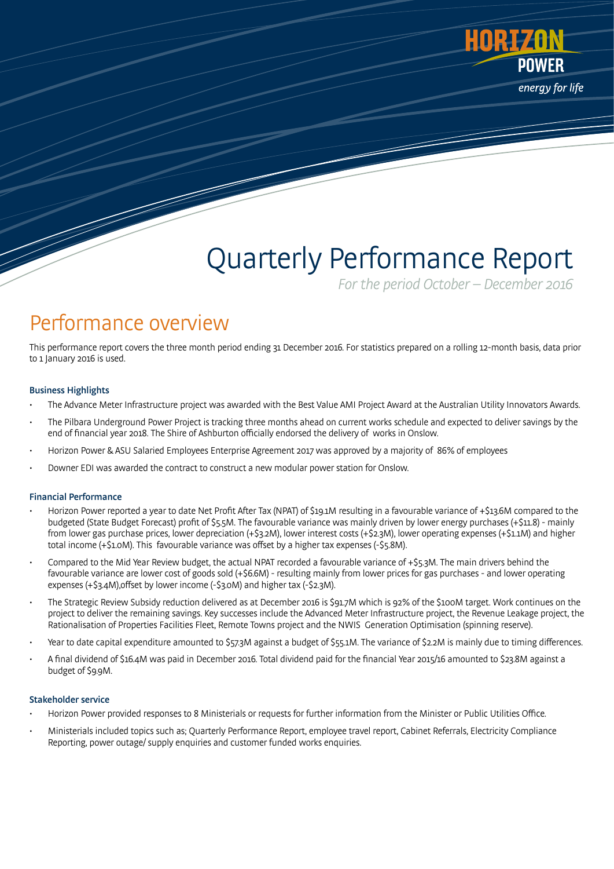

# Quarterly Performance Report

For the period October – December 2016

# Performance overview

This performance report covers the three month period ending 31 December 2016. For statistics prepared on a rolling 12-month basis, data prior to 1 January 2016 is used.

# Business Highlights

- The Advance Meter Infrastructure project was awarded with the Best Value AMI Project Award at the Australian Utility Innovators Awards.
- The Pilbara Underground Power Project is tracking three months ahead on current works schedule and expected to deliver savings by the end of financial year 2018. The Shire of Ashburton officially endorsed the delivery of works in Onslow.
- Horizon Power & ASU Salaried Employees Enterprise Agreement 2017 was approved by a majority of 86% of employees
- Downer EDI was awarded the contract to construct a new modular power station for Onslow.

# Financial Performance

- Horizon Power reported a year to date Net Profit After Tax (NPAT) of \$19.1M resulting in a favourable variance of +\$13.6M compared to the budgeted (State Budget Forecast) profit of \$5.5M. The favourable variance was mainly driven by lower energy purchases (+\$11.8) - mainly from lower gas purchase prices, lower depreciation (+\$3.2M), lower interest costs (+\$2.3M), lower operating expenses (+\$1.1M) and higher total income (+\$1.0M). This favourable variance was offset by a higher tax expenses (-\$5.8M).
- Compared to the Mid Year Review budget, the actual NPAT recorded a favourable variance of +\$5.3M. The main drivers behind the favourable variance are lower cost of goods sold (+\$6.6M) - resulting mainly from lower prices for gas purchases - and lower operating expenses (+\$3.4M),offset by lower income (-\$3.0M) and higher tax (-\$2.3M).
- The Strategic Review Subsidy reduction delivered as at December 2016 is \$91.7M which is 92% of the \$100M target. Work continues on the project to deliver the remaining savings. Key successes include the Advanced Meter Infrastructure project, the Revenue Leakage project, the Rationalisation of Properties Facilities Fleet, Remote Towns project and the NWIS Generation Optimisation (spinning reserve).
- Year to date capital expenditure amounted to \$57.3M against a budget of \$55.1M. The variance of \$2.2M is mainly due to timing differences.
- A final dividend of \$16.4M was paid in December 2016. Total dividend paid for the financial Year 2015/16 amounted to \$23.8M against a budget of \$9.9M.

#### Stakeholder service

- Horizon Power provided responses to 8 Ministerials or requests for further information from the Minister or Public Utilities Office.
- Ministerials included topics such as; Quarterly Performance Report, employee travel report, Cabinet Referrals, Electricity Compliance Reporting, power outage/ supply enquiries and customer funded works enquiries.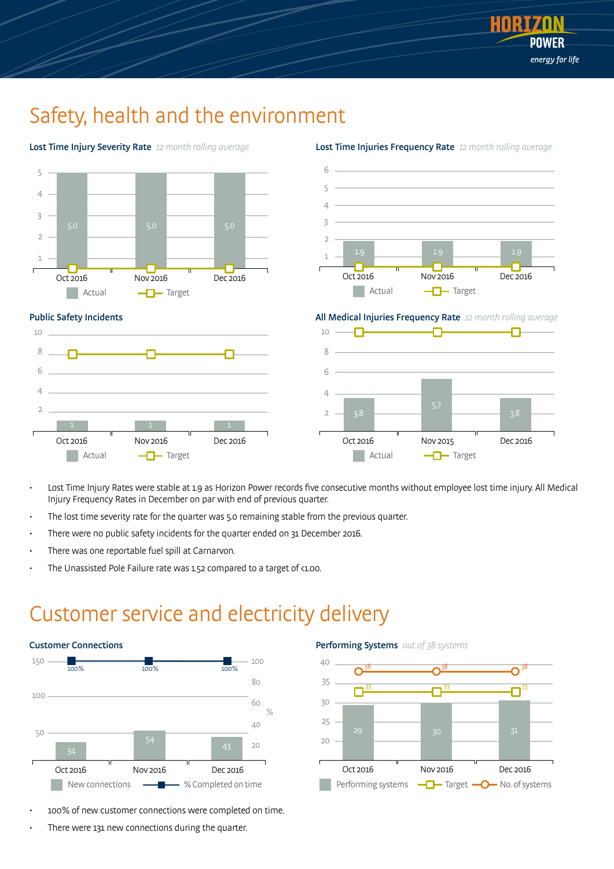

# Safety, health and the environment



Lost Time Injuries Frequency Rate 12 month rolling average

5.7 3.8 3.8

Oct 2016 Nov 2015 Dec 2016

**Actual**  $\neg$ Target ٠ Actual  $\neg$  Target

2

- Lost Time Injury Rates were stable at 1.9 as Horizon Power records five consecutive months without employee lost time injury. All Medical Injury Frequency Rates in December on par with end of previous quarter.
- The lost time severity rate for the quarter was 5.0 remaining stable from the previous quarter.
- There were no public safety incidents for the quarter ended on 31 December 2016.
- There was one reportable fuel spill at Carnarvon.

1 1 1

Oct 2016 Nov 2016 Dec 2016

2

The Unassisted Pole Failure rate was 1.52 compared to a target of <1.00.

# Customer service and electricity delivery



- 100% of new customer connections were completed on time.
- There were 131 new connections during the quarter.



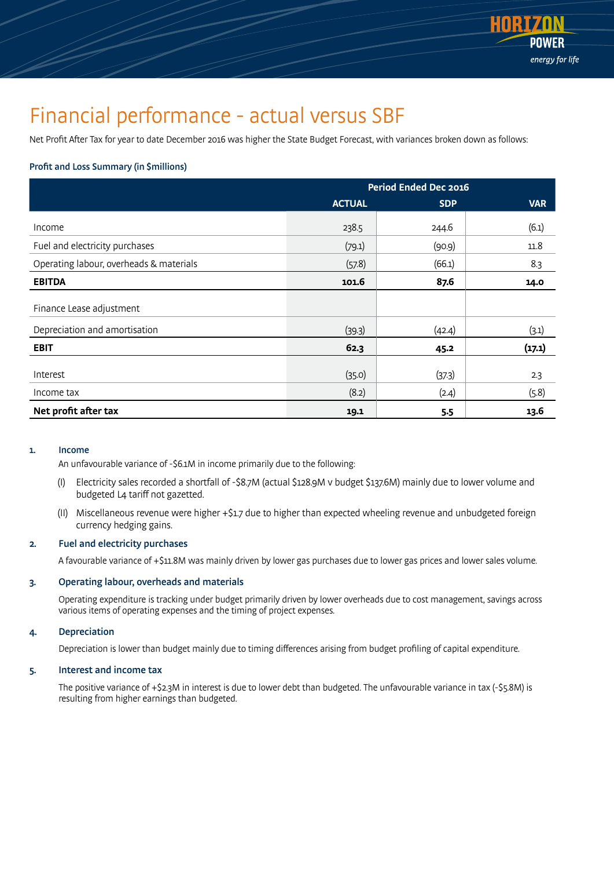

# Financial performance - actual versus SBF

Net Profit After Tax for year to date December 2016 was higher the State Budget Forecast, with variances broken down as follows:

### Profit and Loss Summary (in \$millions)

|                                         | Period Ended Dec 2016 |            |            |
|-----------------------------------------|-----------------------|------------|------------|
|                                         | <b>ACTUAL</b>         | <b>SDP</b> | <b>VAR</b> |
| Income                                  | 238.5                 | 244.6      | (6.1)      |
| Fuel and electricity purchases          | (79.1)                | (90.9)     | 11.8       |
| Operating labour, overheads & materials | (57.8)                | (66.1)     | 8.3        |
| <b>EBITDA</b>                           | 101.6                 | 87.6       | 14.0       |
| Finance Lease adjustment                |                       |            |            |
| Depreciation and amortisation           | (39.3)                | (42.4)     | (3.1)      |
| <b>EBIT</b>                             | 62.3                  | 45.2       | (17.1)     |
| Interest                                | (35.0)                | (37.3)     | 2.3        |
| Income tax                              | (8.2)                 | (2.4)      | (5.8)      |
| Net profit after tax                    | 19.1                  | 5.5        | 13.6       |

#### 1. Income

An unfavourable variance of -\$6.1M in income primarily due to the following:

- (I) Electricity sales recorded a shortfall of -\$8.7M (actual \$128.9M v budget \$137.6M) mainly due to lower volume and budgeted L4 tariff not gazetted.
- (II) Miscellaneous revenue were higher +\$1.7 due to higher than expected wheeling revenue and unbudgeted foreign currency hedging gains.

### 2. Fuel and electricity purchases

A favourable variance of +\$11.8M was mainly driven by lower gas purchases due to lower gas prices and lower sales volume.

### 3. Operating labour, overheads and materials

 Operating expenditure is tracking under budget primarily driven by lower overheads due to cost management, savings across various items of operating expenses and the timing of project expenses.

### 4. Depreciation

Depreciation is lower than budget mainly due to timing differences arising from budget profiling of capital expenditure.

#### 5. Interest and income tax

 The positive variance of +\$2.3M in interest is due to lower debt than budgeted. The unfavourable variance in tax (-\$5.8M) is resulting from higher earnings than budgeted.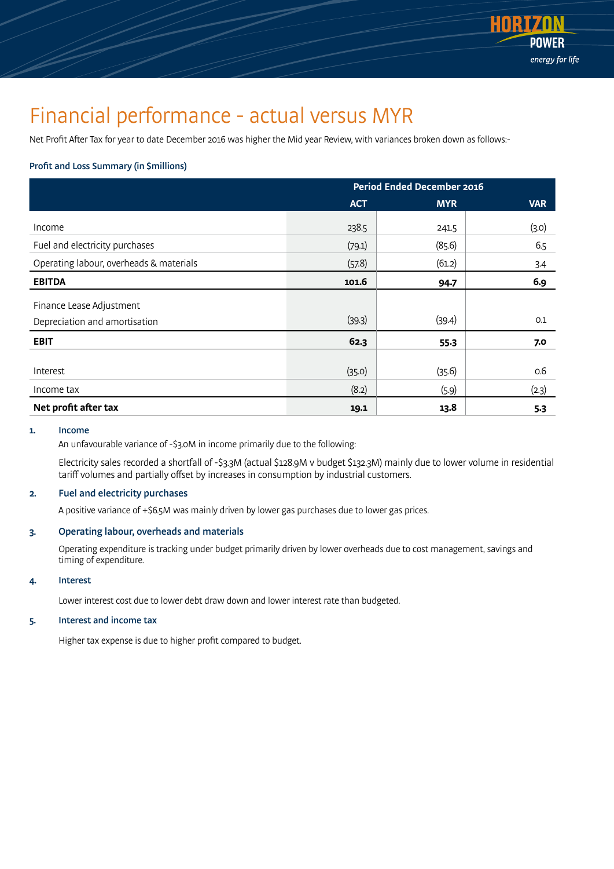

# Financial performance - actual versus MYR

Net Profit After Tax for year to date December 2016 was higher the Mid year Review, with variances broken down as follows:-

# Profit and Loss Summary (in \$millions)

|                                                           | <b>Period Ended December 2016</b> |                 |              |
|-----------------------------------------------------------|-----------------------------------|-----------------|--------------|
|                                                           | <b>ACT</b>                        | <b>MYR</b>      | <b>VAR</b>   |
| Income                                                    | 238.5                             | 241.5           | (3.0)        |
| Fuel and electricity purchases                            | (79.1)                            | (85.6)          | 6.5          |
| Operating labour, overheads & materials                   | (57.8)                            | (61.2)          | 3.4          |
| <b>EBITDA</b>                                             | 101.6                             | 94.7            | 6.9          |
| Finance Lease Adjustment<br>Depreciation and amortisation | (39.3)                            | (39.4)          | 0.1          |
| <b>EBIT</b>                                               | 62.3                              | $55-3$          | 7.0          |
| Interest<br>Income tax                                    | (35.0)<br>(8.2)                   | (35.6)<br>(5.9) | 0.6<br>(2.3) |
| Net profit after tax                                      | 19.1                              | 13.8            | $5-3$        |

#### 1. Income

An unfavourable variance of -\$3.0M in income primarily due to the following:

 Electricity sales recorded a shortfall of -\$3.3M (actual \$128.9M v budget \$132.3M) mainly due to lower volume in residential tariff volumes and partially offset by increases in consumption by industrial customers.

# 2. Fuel and electricity purchases

A positive variance of +\$6.5M was mainly driven by lower gas purchases due to lower gas prices.

# 3. Operating labour, overheads and materials

 Operating expenditure is tracking under budget primarily driven by lower overheads due to cost management, savings and timing of expenditure.

# 4. Interest

Lower interest cost due to lower debt draw down and lower interest rate than budgeted.

### 5. Interest and income tax

Higher tax expense is due to higher profit compared to budget.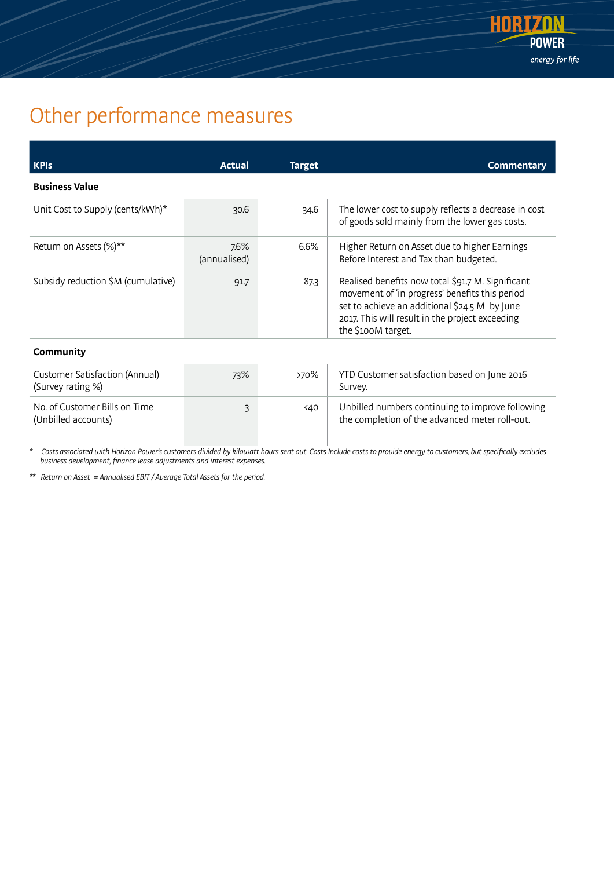

# Other performance measures

| <b>KPIS</b>                        | Actual               | <b>Target</b> | <b>Commentary</b>                                                                                                                                                                                                             |
|------------------------------------|----------------------|---------------|-------------------------------------------------------------------------------------------------------------------------------------------------------------------------------------------------------------------------------|
| <b>Business Value</b>              |                      |               |                                                                                                                                                                                                                               |
| Unit Cost to Supply (cents/kWh)*   | 30.6                 | 34.6          | The lower cost to supply reflects a decrease in cost<br>of goods sold mainly from the lower gas costs.                                                                                                                        |
| Return on Assets (%)**             | 7.6%<br>(annualised) | 6.6%          | Higher Return on Asset due to higher Earnings<br>Before Interest and Tax than budgeted.                                                                                                                                       |
| Subsidy reduction \$M (cumulative) | 91.7                 | 87.3          | Realised benefits now total \$91.7 M. Significant<br>movement of 'in progress' benefits this period<br>set to achieve an additional \$24.5 M by June<br>2017. This will result in the project exceeding<br>the \$100M target. |
| Community                          |                      |               |                                                                                                                                                                                                                               |

| Customer Satisfaction (Annual)<br>(Survey rating %)  | 73% | >70%          | YTD Customer satisfaction based on June 2016<br>Survey.                                            |
|------------------------------------------------------|-----|---------------|----------------------------------------------------------------------------------------------------|
| No. of Customer Bills on Time<br>(Unbilled accounts) |     | <b>&lt;40</b> | Unbilled numbers continuing to improve following<br>the completion of the advanced meter roll-out. |

\* Costs associated with Horizon Power's customers divided by kilowatt hours sent out. Costs Include costs to provide energy to customers, but specifically excludes business development, finance lease adjustments and interest expenses.

\*\* Return on Asset = Annualised EBIT / Average Total Assets for the period.